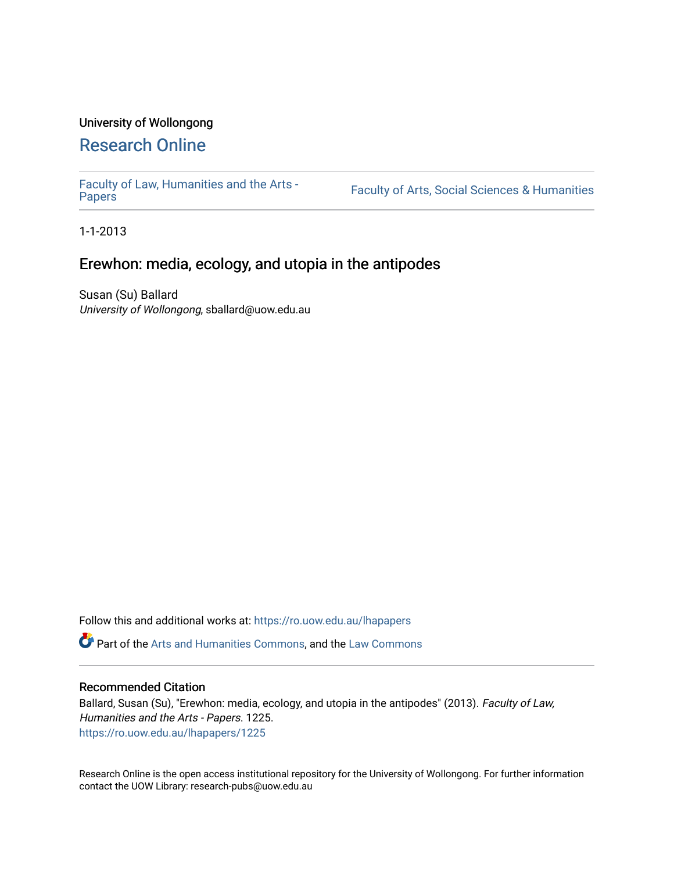# University of Wollongong

## [Research Online](https://ro.uow.edu.au/)

[Faculty of Law, Humanities and the Arts -](https://ro.uow.edu.au/lhapapers)

Faculty of Arts, Social Sciences & Humanities

1-1-2013

## Erewhon: media, ecology, and utopia in the antipodes

Susan (Su) Ballard University of Wollongong, sballard@uow.edu.au

Follow this and additional works at: [https://ro.uow.edu.au/lhapapers](https://ro.uow.edu.au/lhapapers?utm_source=ro.uow.edu.au%2Flhapapers%2F1225&utm_medium=PDF&utm_campaign=PDFCoverPages) 

Part of the [Arts and Humanities Commons,](http://network.bepress.com/hgg/discipline/438?utm_source=ro.uow.edu.au%2Flhapapers%2F1225&utm_medium=PDF&utm_campaign=PDFCoverPages) and the [Law Commons](http://network.bepress.com/hgg/discipline/578?utm_source=ro.uow.edu.au%2Flhapapers%2F1225&utm_medium=PDF&utm_campaign=PDFCoverPages) 

### Recommended Citation

Ballard, Susan (Su), "Erewhon: media, ecology, and utopia in the antipodes" (2013). Faculty of Law, Humanities and the Arts - Papers. 1225. [https://ro.uow.edu.au/lhapapers/1225](https://ro.uow.edu.au/lhapapers/1225?utm_source=ro.uow.edu.au%2Flhapapers%2F1225&utm_medium=PDF&utm_campaign=PDFCoverPages)

Research Online is the open access institutional repository for the University of Wollongong. For further information contact the UOW Library: research-pubs@uow.edu.au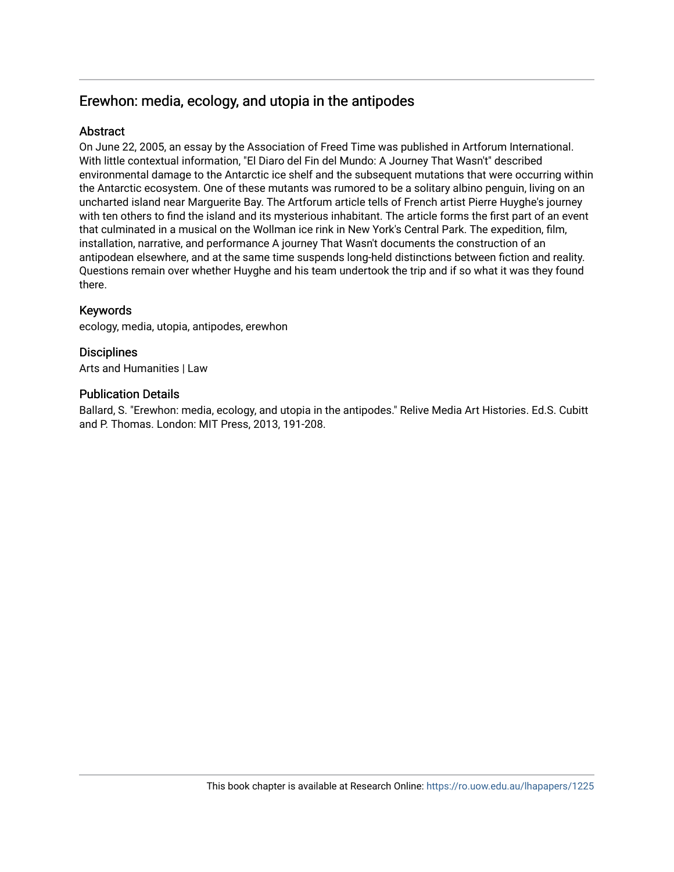## Erewhon: media, ecology, and utopia in the antipodes

## **Abstract**

On June 22, 2005, an essay by the Association of Freed Time was published in Artforum International. With little contextual information, "El Diaro del Fin del Mundo: A Journey That Wasn't" described environmental damage to the Antarctic ice shelf and the subsequent mutations that were occurring within the Antarctic ecosystem. One of these mutants was rumored to be a solitary albino penguin, living on an uncharted island near Marguerite Bay. The Artforum article tells of French artist Pierre Huyghe's journey with ten others to find the island and its mysterious inhabitant. The article forms the first part of an event that culminated in a musical on the Wollman ice rink in New York's Central Park. The expedition, film, installation, narrative, and performance A journey That Wasn't documents the construction of an antipodean elsewhere, and at the same time suspends long-held distinctions between fiction and reality. Questions remain over whether Huyghe and his team undertook the trip and if so what it was they found there.

## Keywords

ecology, media, utopia, antipodes, erewhon

## **Disciplines**

Arts and Humanities | Law

## Publication Details

Ballard, S. "Erewhon: media, ecology, and utopia in the antipodes." Relive Media Art Histories. Ed.S. Cubitt and P. Thomas. London: MIT Press, 2013, 191-208.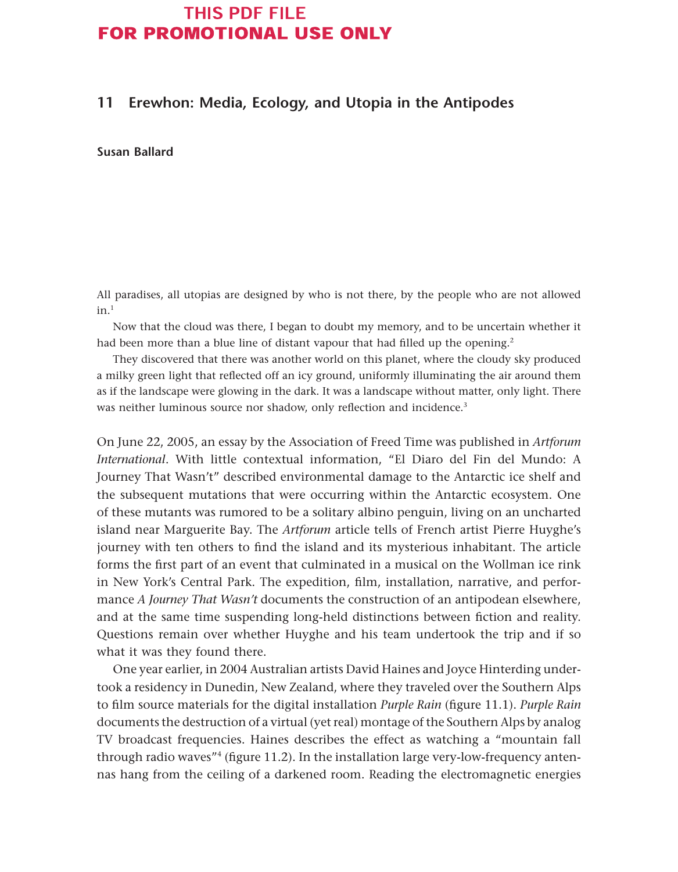## **THIS PDF FILE FOR PROMOTIONAL USE ONLY**

### **11 Erewhon: Media, Ecology, and Utopia in the Antipodes**

#### **Susan Ballard**

All paradises, all utopias are designed by who is not there, by the people who are not allowed  $in.<sup>1</sup>$ 

Now that the cloud was there, I began to doubt my memory, and to be uncertain whether it had been more than a blue line of distant vapour that had filled up the opening.<sup>2</sup>

They discovered that there was another world on this planet, where the cloudy sky produced a milky green light that reflected off an icy ground, uniformly illuminating the air around them as if the landscape were glowing in the dark. It was a landscape without matter, only light. There was neither luminous source nor shadow, only reflection and incidence.<sup>3</sup>

On June 22, 2005, an essay by the Association of Freed Time was published in *Artforum International*. With little contextual information, "El Diaro del Fin del Mundo: A Journey That Wasn't" described environmental damage to the Antarctic ice shelf and the subsequent mutations that were occurring within the Antarctic ecosystem. One of these mutants was rumored to be a solitary albino penguin, living on an uncharted island near Marguerite Bay. The *Artforum* article tells of French artist Pierre Huyghe's journey with ten others to find the island and its mysterious inhabitant. The article forms the first part of an event that culminated in a musical on the Wollman ice rink in New York's Central Park. The expedition, film, installation, narrative, and performance *A Journey That Wasn't* documents the construction of an antipodean elsewhere, and at the same time suspending long-held distinctions between fiction and reality. Questions remain over whether Huyghe and his team undertook the trip and if so what it was they found there.

One year earlier, in 2004 Australian artists David Haines and Joyce Hinterding undertook a residency in Dunedin, New Zealand, where they traveled over the Southern Alps to film source materials for the digital installation *Purple Rain* (figure 11.1). *Purple Rain* documents the destruction of a virtual (yet real) montage of the Southern Alps by analog TV broadcast frequencies. Haines describes the effect as watching a "mountain fall through radio waves"4 (figure 11.2). In the installation large very-low-frequency antennas hang from the ceiling of a darkened room. Reading the electromagnetic energies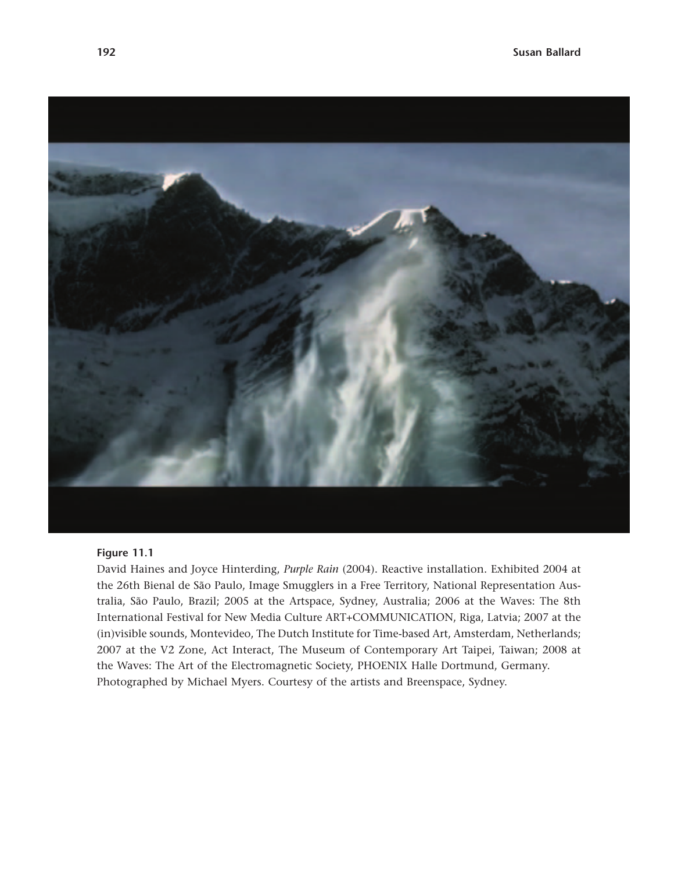

David Haines and Joyce Hinterding, *Purple Rain* (2004). Reactive installation. Exhibited 2004 at the 26th Bienal de São Paulo, Image Smugglers in a Free Territory, National Representation Australia, São Paulo, Brazil; 2005 at the Artspace, Sydney, Australia; 2006 at the Waves: The 8th International Festival for New Media Culture ART+COMMUNICATION, Riga, Latvia; 2007 at the (in)visible sounds, Montevideo, The Dutch Institute for Time-based Art, Amsterdam, Netherlands; 2007 at the V2 Zone, Act Interact, The Museum of Contemporary Art Taipei, Taiwan; 2008 at the Waves: The Art of the Electromagnetic Society, PHOENIX Halle Dortmund, Germany. Photographed by Michael Myers. Courtesy of the artists and Breenspace, Sydney.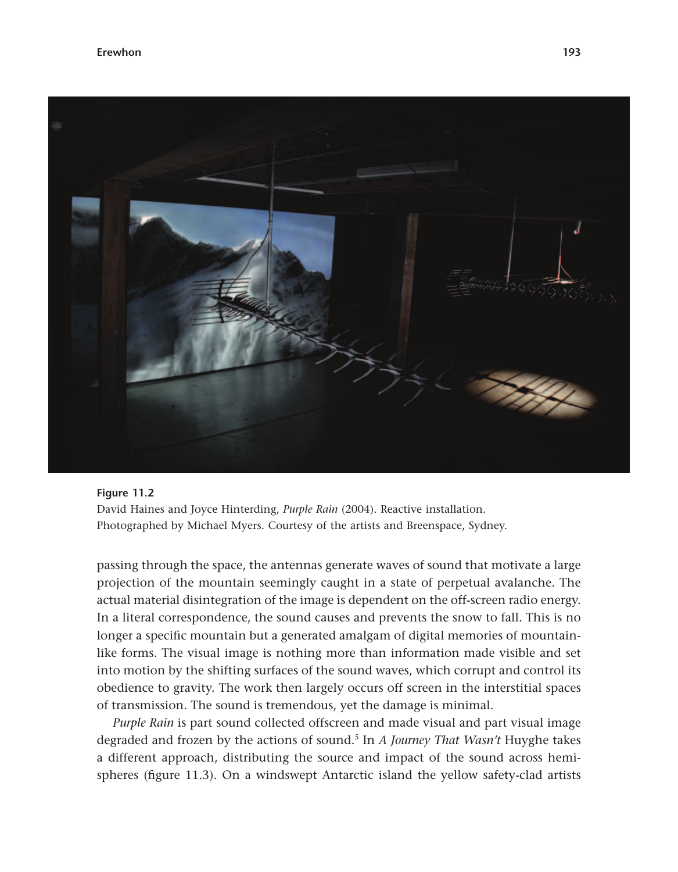

David Haines and Joyce Hinterding, *Purple Rain* (2004). Reactive installation. Photographed by Michael Myers. Courtesy of the artists and Breenspace, Sydney.

passing through the space, the antennas generate waves of sound that motivate a large projection of the mountain seemingly caught in a state of perpetual avalanche. The actual material disintegration of the image is dependent on the off-screen radio energy. In a literal correspondence, the sound causes and prevents the snow to fall. This is no longer a specific mountain but a generated amalgam of digital memories of mountainlike forms. The visual image is nothing more than information made visible and set into motion by the shifting surfaces of the sound waves, which corrupt and control its obedience to gravity. The work then largely occurs off screen in the interstitial spaces of transmission. The sound is tremendous, yet the damage is minimal.

*Purple Rain* is part sound collected offscreen and made visual and part visual image degraded and frozen by the actions of sound.5 In *A Journey That Wasn't* Huyghe takes a different approach, distributing the source and impact of the sound across hemispheres (figure 11.3). On a windswept Antarctic island the yellow safety-clad artists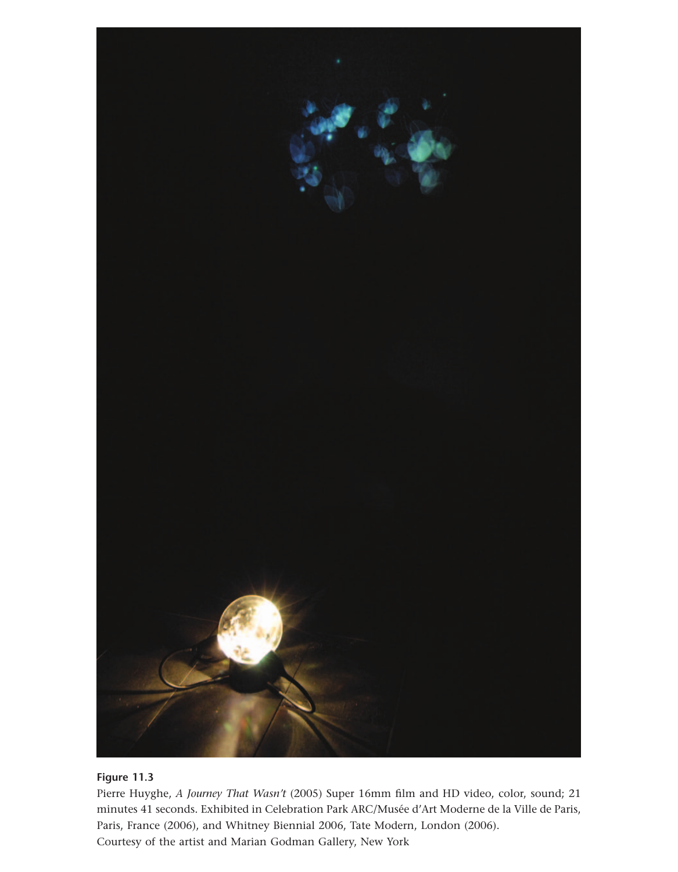

Pierre Huyghe, *A Journey That Wasn't* (2005) Super 16mm film and HD video, color, sound; 21 minutes 41 seconds. Exhibited in Celebration Park ARC/Musée d'Art Moderne de la Ville de Paris, Paris, France (2006), and Whitney Biennial 2006, Tate Modern, London (2006). Courtesy of the artist and Marian Godman Gallery, New York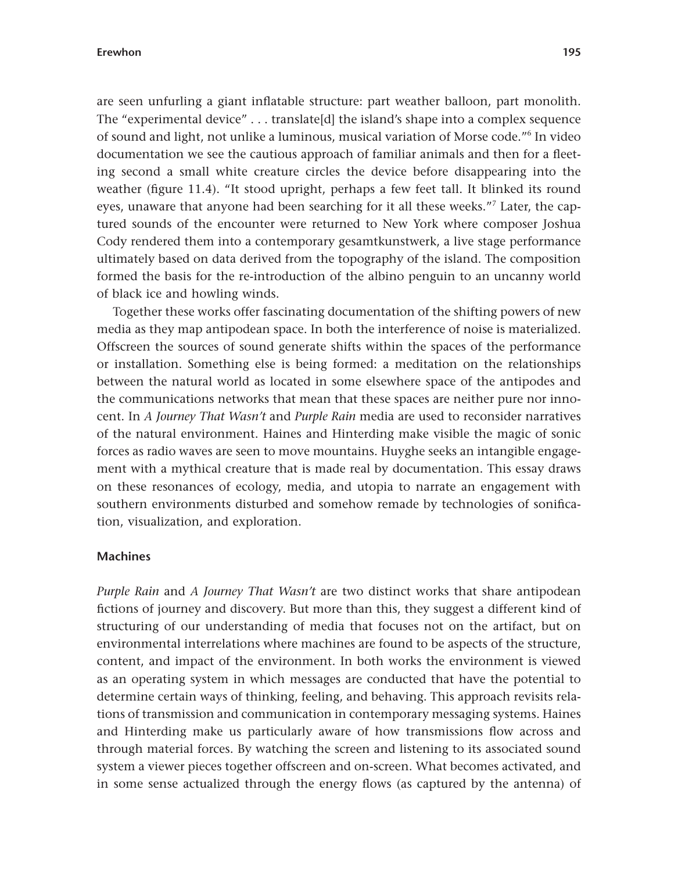are seen unfurling a giant inflatable structure: part weather balloon, part monolith. The "experimental device" . . . translate[d] the island's shape into a complex sequence of sound and light, not unlike a luminous, musical variation of Morse code."6 In video documentation we see the cautious approach of familiar animals and then for a fleeting second a small white creature circles the device before disappearing into the weather (figure 11.4). "It stood upright, perhaps a few feet tall. It blinked its round eyes, unaware that anyone had been searching for it all these weeks."<sup>7</sup> Later, the captured sounds of the encounter were returned to New York where composer Joshua Cody rendered them into a contemporary gesamtkunstwerk, a live stage performance ultimately based on data derived from the topography of the island. The composition formed the basis for the re-introduction of the albino penguin to an uncanny world of black ice and howling winds.

Together these works offer fascinating documentation of the shifting powers of new media as they map antipodean space. In both the interference of noise is materialized. Offscreen the sources of sound generate shifts within the spaces of the performance or installation. Something else is being formed: a meditation on the relationships between the natural world as located in some elsewhere space of the antipodes and the communications networks that mean that these spaces are neither pure nor innocent. In *A Journey That Wasn't* and *Purple Rain* media are used to reconsider narratives of the natural environment. Haines and Hinterding make visible the magic of sonic forces as radio waves are seen to move mountains. Huyghe seeks an intangible engagement with a mythical creature that is made real by documentation. This essay draws on these resonances of ecology, media, and utopia to narrate an engagement with southern environments disturbed and somehow remade by technologies of sonification, visualization, and exploration.

#### **Machines**

*Purple Rain* and *A Journey That Wasn't* are two distinct works that share antipodean fictions of journey and discovery. But more than this, they suggest a different kind of structuring of our understanding of media that focuses not on the artifact, but on environmental interrelations where machines are found to be aspects of the structure, content, and impact of the environment. In both works the environment is viewed as an operating system in which messages are conducted that have the potential to determine certain ways of thinking, feeling, and behaving. This approach revisits relations of transmission and communication in contemporary messaging systems. Haines and Hinterding make us particularly aware of how transmissions flow across and through material forces. By watching the screen and listening to its associated sound system a viewer pieces together offscreen and on-screen. What becomes activated, and in some sense actualized through the energy flows (as captured by the antenna) of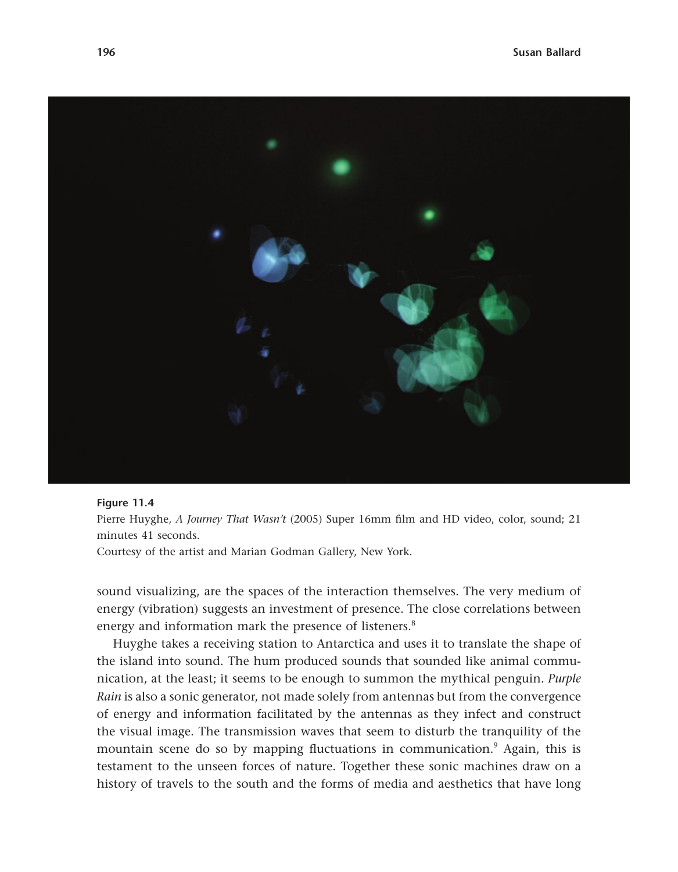

Pierre Huyghe, *A Journey That Wasn't* (2005) Super 16mm film and HD video, color, sound; 21 minutes 41 seconds.

Courtesy of the artist and Marian Godman Gallery, New York.

sound visualizing, are the spaces of the interaction themselves. The very medium of energy (vibration) suggests an investment of presence. The close correlations between energy and information mark the presence of listeners.<sup>8</sup>

Huyghe takes a receiving station to Antarctica and uses it to translate the shape of the island into sound. The hum produced sounds that sounded like animal communication, at the least; it seems to be enough to summon the mythical penguin. *Purple Rain* is also a sonic generator, not made solely from antennas but from the convergence of energy and information facilitated by the antennas as they infect and construct the visual image. The transmission waves that seem to disturb the tranquility of the mountain scene do so by mapping fluctuations in communication.<sup>9</sup> Again, this is testament to the unseen forces of nature. Together these sonic machines draw on a history of travels to the south and the forms of media and aesthetics that have long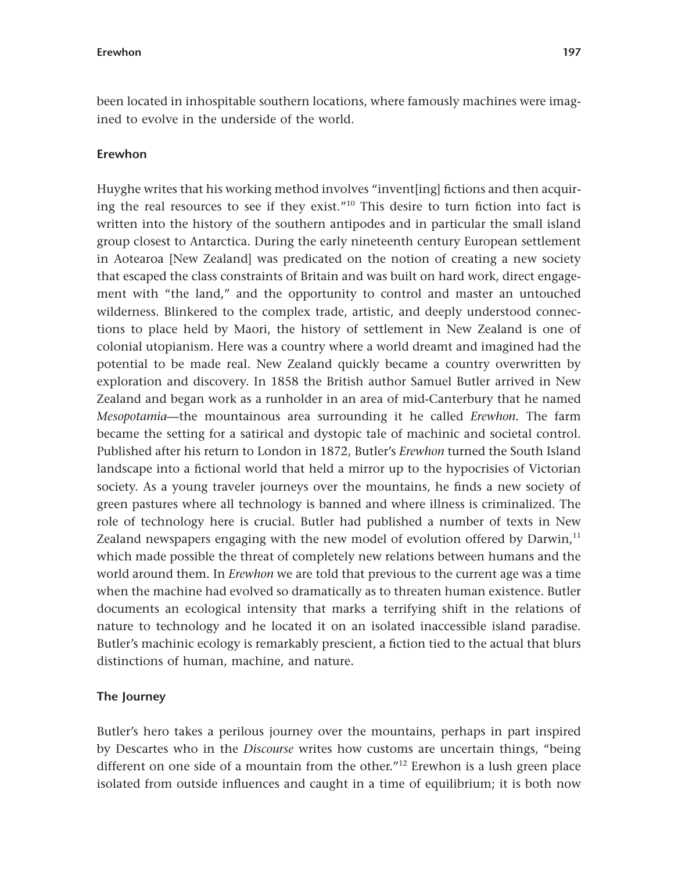been located in inhospitable southern locations, where famously machines were imagined to evolve in the underside of the world.

#### **Erewhon**

Huyghe writes that his working method involves "invent[ing] fictions and then acquiring the real resources to see if they exist."10 This desire to turn fiction into fact is written into the history of the southern antipodes and in particular the small island group closest to Antarctica. During the early nineteenth century European settlement in Aotearoa [New Zealand] was predicated on the notion of creating a new society that escaped the class constraints of Britain and was built on hard work, direct engagement with "the land," and the opportunity to control and master an untouched wilderness. Blinkered to the complex trade, artistic, and deeply understood connections to place held by Maori, the history of settlement in New Zealand is one of colonial utopianism. Here was a country where a world dreamt and imagined had the potential to be made real. New Zealand quickly became a country overwritten by exploration and discovery. In 1858 the British author Samuel Butler arrived in New Zealand and began work as a runholder in an area of mid-Canterbury that he named *Mesopotamia*—the mountainous area surrounding it he called *Erewhon.* The farm became the setting for a satirical and dystopic tale of machinic and societal control. Published after his return to London in 1872, Butler's *Erewhon* turned the South Island landscape into a fictional world that held a mirror up to the hypocrisies of Victorian society. As a young traveler journeys over the mountains, he finds a new society of green pastures where all technology is banned and where illness is criminalized. The role of technology here is crucial. Butler had published a number of texts in New Zealand newspapers engaging with the new model of evolution offered by Darwin,<sup>11</sup> which made possible the threat of completely new relations between humans and the world around them. In *Erewhon* we are told that previous to the current age was a time when the machine had evolved so dramatically as to threaten human existence. Butler documents an ecological intensity that marks a terrifying shift in the relations of nature to technology and he located it on an isolated inaccessible island paradise. Butler's machinic ecology is remarkably prescient, a fiction tied to the actual that blurs distinctions of human, machine, and nature.

#### **The Journey**

Butler's hero takes a perilous journey over the mountains, perhaps in part inspired by Descartes who in the *Discourse* writes how customs are uncertain things, "being different on one side of a mountain from the other.<sup>"12</sup> Erewhon is a lush green place isolated from outside influences and caught in a time of equilibrium; it is both now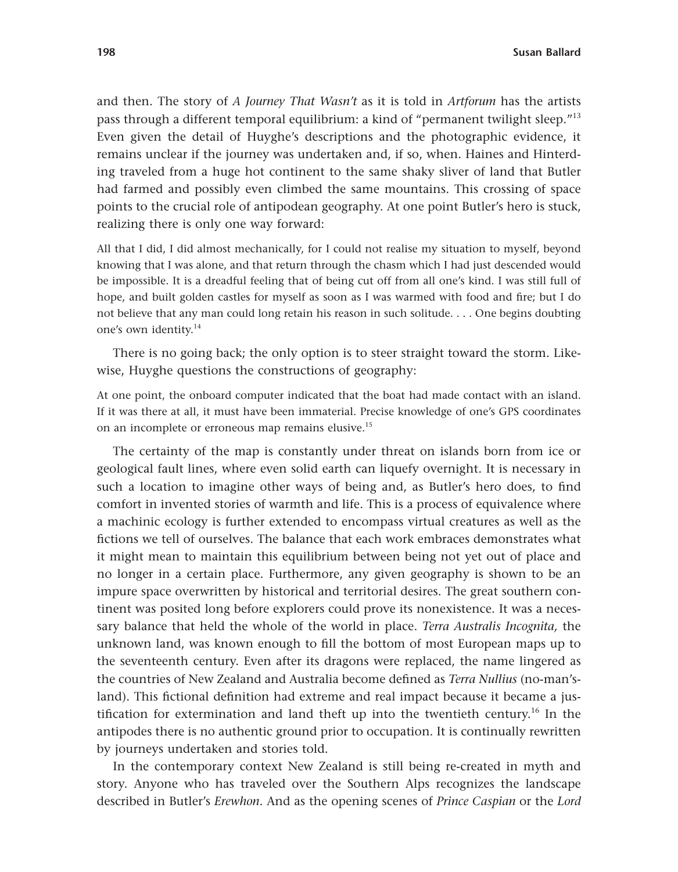and then. The story of *A Journey That Wasn't* as it is told in *Artforum* has the artists pass through a different temporal equilibrium: a kind of "permanent twilight sleep."13 Even given the detail of Huyghe's descriptions and the photographic evidence, it remains unclear if the journey was undertaken and, if so, when. Haines and Hinterding traveled from a huge hot continent to the same shaky sliver of land that Butler had farmed and possibly even climbed the same mountains. This crossing of space points to the crucial role of antipodean geography. At one point Butler's hero is stuck, realizing there is only one way forward:

All that I did, I did almost mechanically, for I could not realise my situation to myself, beyond knowing that I was alone, and that return through the chasm which I had just descended would be impossible. It is a dreadful feeling that of being cut off from all one's kind. I was still full of hope, and built golden castles for myself as soon as I was warmed with food and fire; but I do not believe that any man could long retain his reason in such solitude. . . . One begins doubting one's own identity.14

There is no going back; the only option is to steer straight toward the storm. Likewise, Huyghe questions the constructions of geography:

At one point, the onboard computer indicated that the boat had made contact with an island. If it was there at all, it must have been immaterial. Precise knowledge of one's GPS coordinates on an incomplete or erroneous map remains elusive.<sup>15</sup>

The certainty of the map is constantly under threat on islands born from ice or geological fault lines, where even solid earth can liquefy overnight. It is necessary in such a location to imagine other ways of being and, as Butler's hero does, to find comfort in invented stories of warmth and life. This is a process of equivalence where a machinic ecology is further extended to encompass virtual creatures as well as the fictions we tell of ourselves. The balance that each work embraces demonstrates what it might mean to maintain this equilibrium between being not yet out of place and no longer in a certain place. Furthermore, any given geography is shown to be an impure space overwritten by historical and territorial desires. The great southern continent was posited long before explorers could prove its nonexistence. It was a necessary balance that held the whole of the world in place. *Terra Australis Incognita,* the unknown land, was known enough to fill the bottom of most European maps up to the seventeenth century. Even after its dragons were replaced, the name lingered as the countries of New Zealand and Australia become defined as *Terra Nullius* (no-man'sland). This fictional definition had extreme and real impact because it became a justification for extermination and land theft up into the twentieth century.16 In the antipodes there is no authentic ground prior to occupation. It is continually rewritten by journeys undertaken and stories told.

In the contemporary context New Zealand is still being re-created in myth and story. Anyone who has traveled over the Southern Alps recognizes the landscape described in Butler's *Erewhon*. And as the opening scenes of *Prince Caspian* or the *Lord*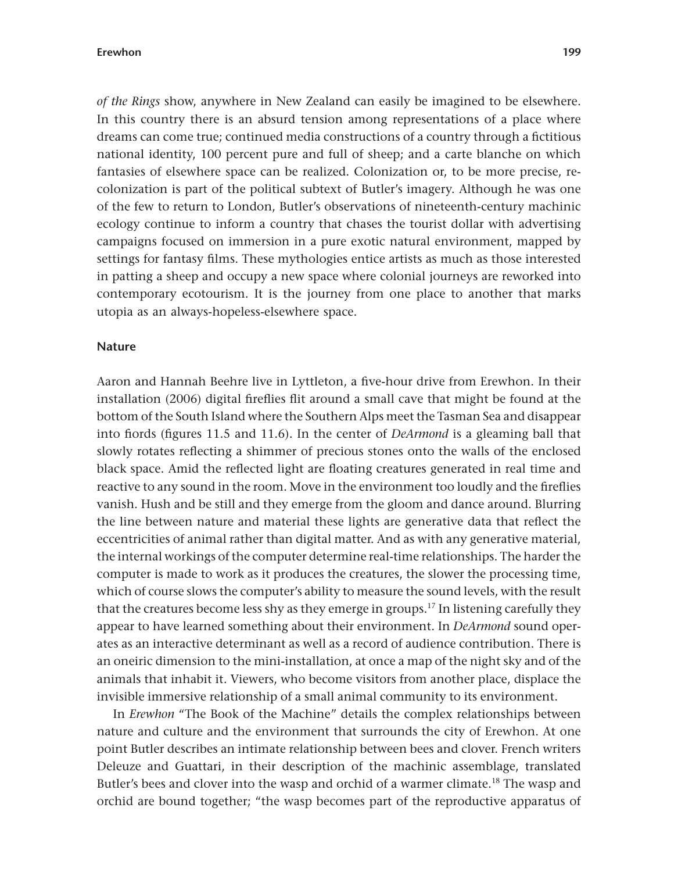*of the Rings* show, anywhere in New Zealand can easily be imagined to be elsewhere. In this country there is an absurd tension among representations of a place where dreams can come true; continued media constructions of a country through a fictitious national identity, 100 percent pure and full of sheep; and a carte blanche on which fantasies of elsewhere space can be realized. Colonization or, to be more precise, recolonization is part of the political subtext of Butler's imagery. Although he was one of the few to return to London, Butler's observations of nineteenth-century machinic ecology continue to inform a country that chases the tourist dollar with advertising campaigns focused on immersion in a pure exotic natural environment, mapped by settings for fantasy films. These mythologies entice artists as much as those interested in patting a sheep and occupy a new space where colonial journeys are reworked into contemporary ecotourism. It is the journey from one place to another that marks utopia as an always-hopeless-elsewhere space.

#### **Nature**

Aaron and Hannah Beehre live in Lyttleton, a five-hour drive from Erewhon. In their installation (2006) digital fireflies flit around a small cave that might be found at the bottom of the South Island where the Southern Alps meet the Tasman Sea and disappear into fiords (figures 11.5 and 11.6). In the center of *DeArmond* is a gleaming ball that slowly rotates reflecting a shimmer of precious stones onto the walls of the enclosed black space. Amid the reflected light are floating creatures generated in real time and reactive to any sound in the room. Move in the environment too loudly and the fireflies vanish. Hush and be still and they emerge from the gloom and dance around. Blurring the line between nature and material these lights are generative data that reflect the eccentricities of animal rather than digital matter. And as with any generative material, the internal workings of the computer determine real-time relationships. The harder the computer is made to work as it produces the creatures, the slower the processing time, which of course slows the computer's ability to measure the sound levels, with the result that the creatures become less shy as they emerge in groups.<sup>17</sup> In listening carefully they appear to have learned something about their environment. In *DeArmond* sound operates as an interactive determinant as well as a record of audience contribution. There is an oneiric dimension to the mini-installation, at once a map of the night sky and of the animals that inhabit it. Viewers, who become visitors from another place, displace the invisible immersive relationship of a small animal community to its environment.

In *Erewhon* "The Book of the Machine" details the complex relationships between nature and culture and the environment that surrounds the city of Erewhon. At one point Butler describes an intimate relationship between bees and clover. French writers Deleuze and Guattari, in their description of the machinic assemblage, translated Butler's bees and clover into the wasp and orchid of a warmer climate.<sup>18</sup> The wasp and orchid are bound together; "the wasp becomes part of the reproductive apparatus of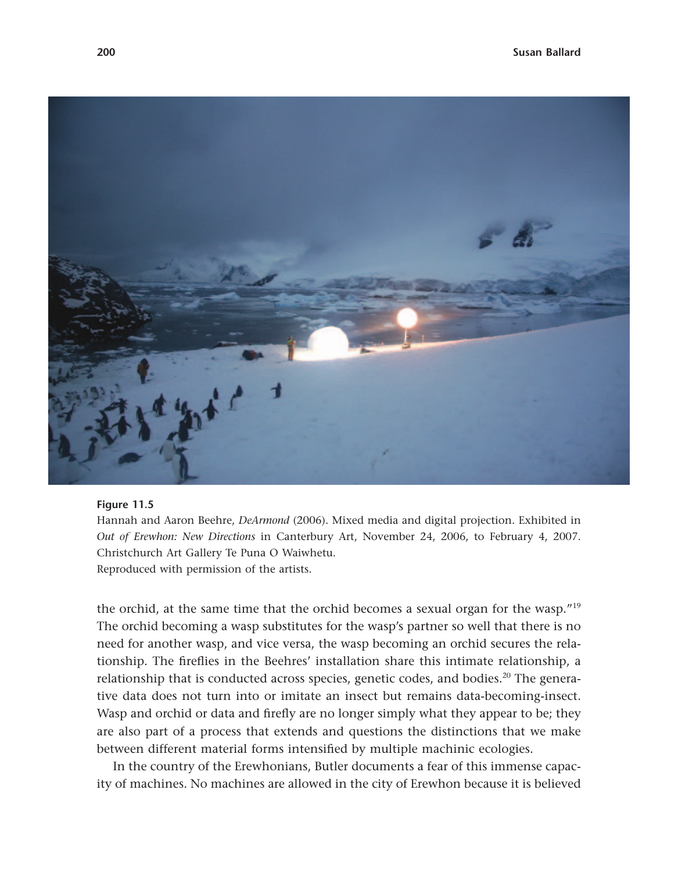

Hannah and Aaron Beehre, *DeArmond* (2006). Mixed media and digital projection. Exhibited in *Out of Erewhon: New Directions* in Canterbury Art, November 24, 2006, to February 4, 2007. Christchurch Art Gallery Te Puna O Waiwhetu. Reproduced with permission of the artists.

the orchid, at the same time that the orchid becomes a sexual organ for the wasp."<sup>19</sup> The orchid becoming a wasp substitutes for the wasp's partner so well that there is no need for another wasp, and vice versa, the wasp becoming an orchid secures the relationship. The fireflies in the Beehres' installation share this intimate relationship, a relationship that is conducted across species, genetic codes, and bodies. $20$  The generative data does not turn into or imitate an insect but remains data-becoming-insect. Wasp and orchid or data and firefly are no longer simply what they appear to be; they are also part of a process that extends and questions the distinctions that we make between different material forms intensified by multiple machinic ecologies.

In the country of the Erewhonians, Butler documents a fear of this immense capacity of machines. No machines are allowed in the city of Erewhon because it is believed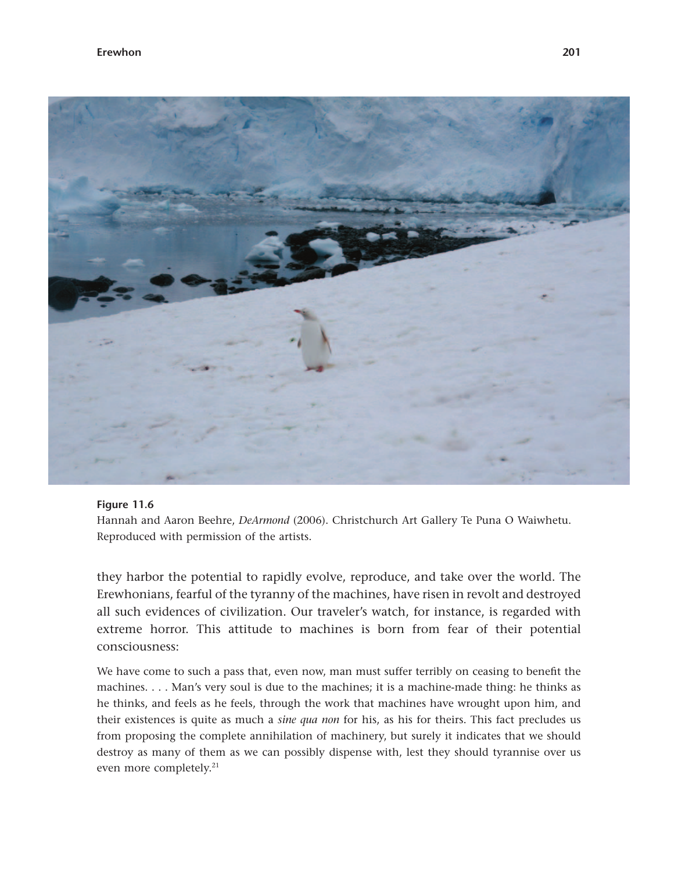

Hannah and Aaron Beehre, *DeArmond* (2006). Christchurch Art Gallery Te Puna O Waiwhetu. Reproduced with permission of the artists.

they harbor the potential to rapidly evolve, reproduce, and take over the world. The Erewhonians, fearful of the tyranny of the machines, have risen in revolt and destroyed all such evidences of civilization. Our traveler's watch, for instance, is regarded with extreme horror. This attitude to machines is born from fear of their potential consciousness:

We have come to such a pass that, even now, man must suffer terribly on ceasing to benefit the machines. . . . Man's very soul is due to the machines; it is a machine-made thing: he thinks as he thinks, and feels as he feels, through the work that machines have wrought upon him, and their existences is quite as much a *sine qua non* for his, as his for theirs. This fact precludes us from proposing the complete annihilation of machinery, but surely it indicates that we should destroy as many of them as we can possibly dispense with, lest they should tyrannise over us even more completely.<sup>21</sup>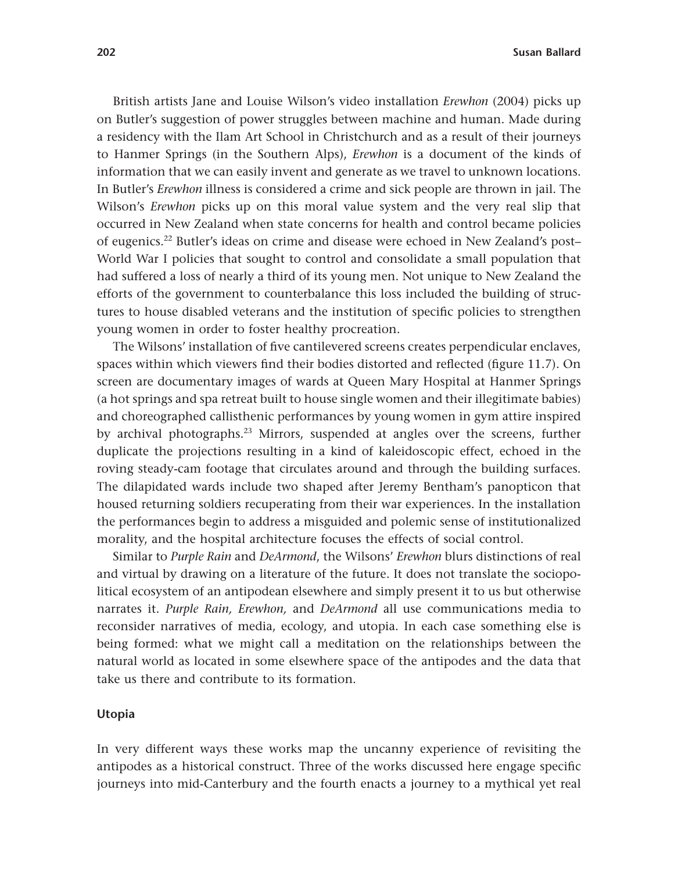British artists Jane and Louise Wilson's video installation *Erewhon* (2004) picks up on Butler's suggestion of power struggles between machine and human. Made during a residency with the Ilam Art School in Christchurch and as a result of their journeys to Hanmer Springs (in the Southern Alps), *Erewhon* is a document of the kinds of information that we can easily invent and generate as we travel to unknown locations. In Butler's *Erewhon* illness is considered a crime and sick people are thrown in jail. The Wilson's *Erewhon* picks up on this moral value system and the very real slip that occurred in New Zealand when state concerns for health and control became policies of eugenics.22 Butler's ideas on crime and disease were echoed in New Zealand's post– World War I policies that sought to control and consolidate a small population that had suffered a loss of nearly a third of its young men. Not unique to New Zealand the efforts of the government to counterbalance this loss included the building of structures to house disabled veterans and the institution of specific policies to strengthen young women in order to foster healthy procreation.

The Wilsons' installation of five cantilevered screens creates perpendicular enclaves, spaces within which viewers find their bodies distorted and reflected (figure 11.7). On screen are documentary images of wards at Queen Mary Hospital at Hanmer Springs (a hot springs and spa retreat built to house single women and their illegitimate babies) and choreographed callisthenic performances by young women in gym attire inspired by archival photographs.23 Mirrors, suspended at angles over the screens, further duplicate the projections resulting in a kind of kaleidoscopic effect, echoed in the roving steady-cam footage that circulates around and through the building surfaces. The dilapidated wards include two shaped after Jeremy Bentham's panopticon that housed returning soldiers recuperating from their war experiences. In the installation the performances begin to address a misguided and polemic sense of institutionalized morality, and the hospital architecture focuses the effects of social control.

Similar to *Purple Rain* and *DeArmond*, the Wilsons' *Erewhon* blurs distinctions of real and virtual by drawing on a literature of the future. It does not translate the sociopolitical ecosystem of an antipodean elsewhere and simply present it to us but otherwise narrates it. *Purple Rain, Erewhon,* and *DeArmond* all use communications media to reconsider narratives of media, ecology, and utopia. In each case something else is being formed: what we might call a meditation on the relationships between the natural world as located in some elsewhere space of the antipodes and the data that take us there and contribute to its formation.

#### **Utopia**

In very different ways these works map the uncanny experience of revisiting the antipodes as a historical construct. Three of the works discussed here engage specific journeys into mid-Canterbury and the fourth enacts a journey to a mythical yet real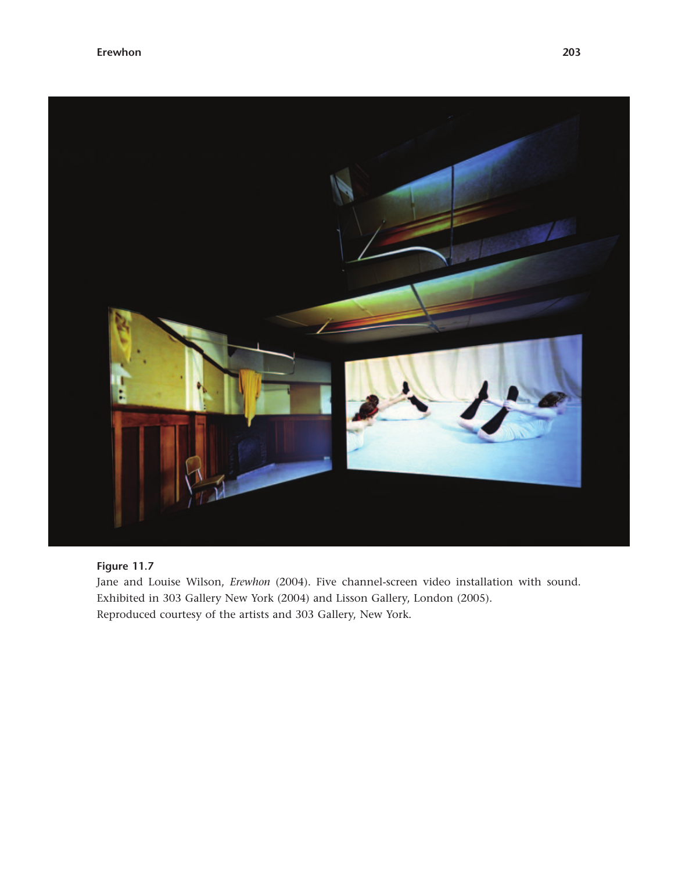

Jane and Louise Wilson, *Erewhon* (2004). Five channel-screen video installation with sound. Exhibited in 303 Gallery New York (2004) and Lisson Gallery, London (2005). Reproduced courtesy of the artists and 303 Gallery, New York.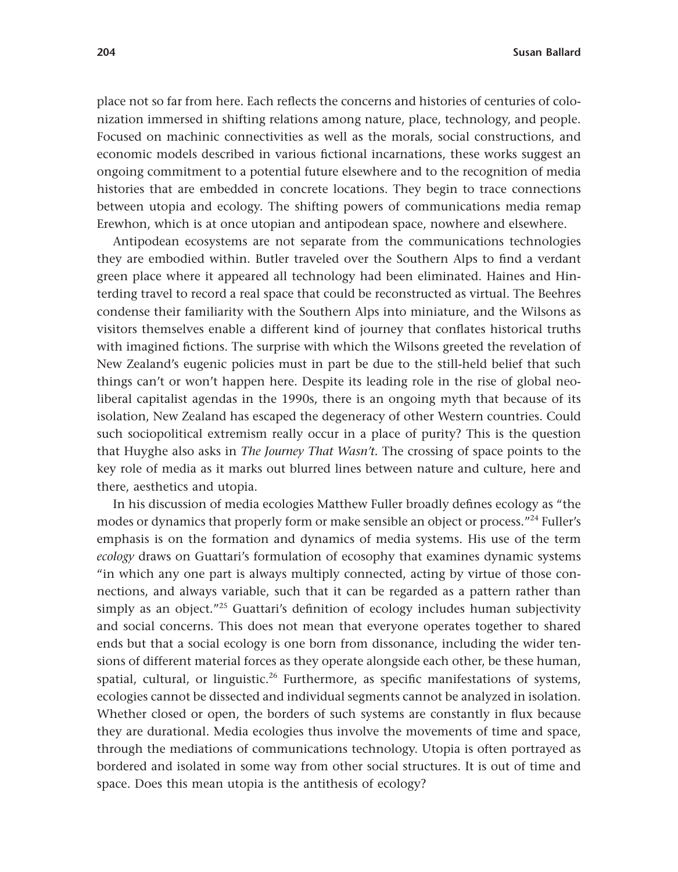place not so far from here. Each reflects the concerns and histories of centuries of colonization immersed in shifting relations among nature, place, technology, and people. Focused on machinic connectivities as well as the morals, social constructions, and economic models described in various fictional incarnations, these works suggest an ongoing commitment to a potential future elsewhere and to the recognition of media histories that are embedded in concrete locations. They begin to trace connections between utopia and ecology. The shifting powers of communications media remap Erewhon, which is at once utopian and antipodean space, nowhere and elsewhere.

Antipodean ecosystems are not separate from the communications technologies they are embodied within. Butler traveled over the Southern Alps to find a verdant green place where it appeared all technology had been eliminated. Haines and Hinterding travel to record a real space that could be reconstructed as virtual. The Beehres condense their familiarity with the Southern Alps into miniature, and the Wilsons as visitors themselves enable a different kind of journey that conflates historical truths with imagined fictions. The surprise with which the Wilsons greeted the revelation of New Zealand's eugenic policies must in part be due to the still-held belief that such things can't or won't happen here. Despite its leading role in the rise of global neoliberal capitalist agendas in the 1990s, there is an ongoing myth that because of its isolation, New Zealand has escaped the degeneracy of other Western countries. Could such sociopolitical extremism really occur in a place of purity? This is the question that Huyghe also asks in *The Journey That Wasn't.* The crossing of space points to the key role of media as it marks out blurred lines between nature and culture, here and there, aesthetics and utopia.

In his discussion of media ecologies Matthew Fuller broadly defines ecology as "the modes or dynamics that properly form or make sensible an object or process."<sup>24</sup> Fuller's emphasis is on the formation and dynamics of media systems. His use of the term *ecology* draws on Guattari's formulation of ecosophy that examines dynamic systems "in which any one part is always multiply connected, acting by virtue of those connections, and always variable, such that it can be regarded as a pattern rather than simply as an object."<sup>25</sup> Guattari's definition of ecology includes human subjectivity and social concerns. This does not mean that everyone operates together to shared ends but that a social ecology is one born from dissonance, including the wider tensions of different material forces as they operate alongside each other, be these human, spatial, cultural, or linguistic.<sup>26</sup> Furthermore, as specific manifestations of systems, ecologies cannot be dissected and individual segments cannot be analyzed in isolation. Whether closed or open, the borders of such systems are constantly in flux because they are durational. Media ecologies thus involve the movements of time and space, through the mediations of communications technology. Utopia is often portrayed as bordered and isolated in some way from other social structures. It is out of time and space. Does this mean utopia is the antithesis of ecology?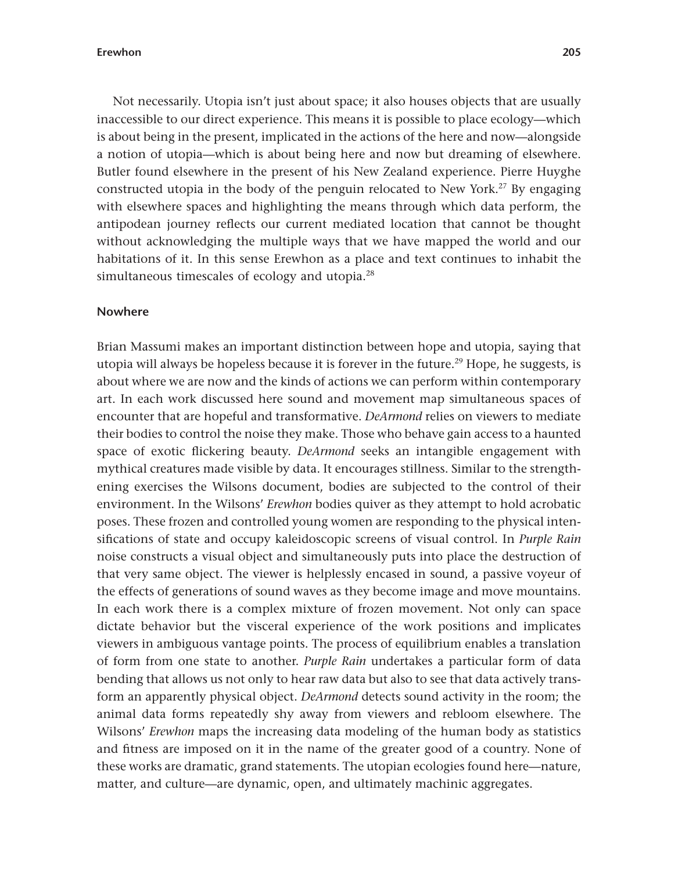Not necessarily. Utopia isn't just about space; it also houses objects that are usually inaccessible to our direct experience. This means it is possible to place ecology—which is about being in the present, implicated in the actions of the here and now—alongside a notion of utopia—which is about being here and now but dreaming of elsewhere. Butler found elsewhere in the present of his New Zealand experience. Pierre Huyghe constructed utopia in the body of the penguin relocated to New York.<sup>27</sup> By engaging with elsewhere spaces and highlighting the means through which data perform, the antipodean journey reflects our current mediated location that cannot be thought without acknowledging the multiple ways that we have mapped the world and our habitations of it. In this sense Erewhon as a place and text continues to inhabit the simultaneous timescales of ecology and utopia.<sup>28</sup>

#### **Nowhere**

Brian Massumi makes an important distinction between hope and utopia, saying that utopia will always be hopeless because it is forever in the future.<sup>29</sup> Hope, he suggests, is about where we are now and the kinds of actions we can perform within contemporary art. In each work discussed here sound and movement map simultaneous spaces of encounter that are hopeful and transformative. *DeArmond* relies on viewers to mediate their bodies to control the noise they make. Those who behave gain access to a haunted space of exotic flickering beauty. *DeArmond* seeks an intangible engagement with mythical creatures made visible by data. It encourages stillness. Similar to the strengthening exercises the Wilsons document, bodies are subjected to the control of their environment. In the Wilsons' *Erewhon* bodies quiver as they attempt to hold acrobatic poses. These frozen and controlled young women are responding to the physical intensifications of state and occupy kaleidoscopic screens of visual control. In *Purple Rain* noise constructs a visual object and simultaneously puts into place the destruction of that very same object. The viewer is helplessly encased in sound, a passive voyeur of the effects of generations of sound waves as they become image and move mountains. In each work there is a complex mixture of frozen movement. Not only can space dictate behavior but the visceral experience of the work positions and implicates viewers in ambiguous vantage points. The process of equilibrium enables a translation of form from one state to another. *Purple Rain* undertakes a particular form of data bending that allows us not only to hear raw data but also to see that data actively transform an apparently physical object. *DeArmond* detects sound activity in the room; the animal data forms repeatedly shy away from viewers and rebloom elsewhere. The Wilsons' *Erewhon* maps the increasing data modeling of the human body as statistics and fitness are imposed on it in the name of the greater good of a country. None of these works are dramatic, grand statements. The utopian ecologies found here—nature, matter, and culture—are dynamic, open, and ultimately machinic aggregates.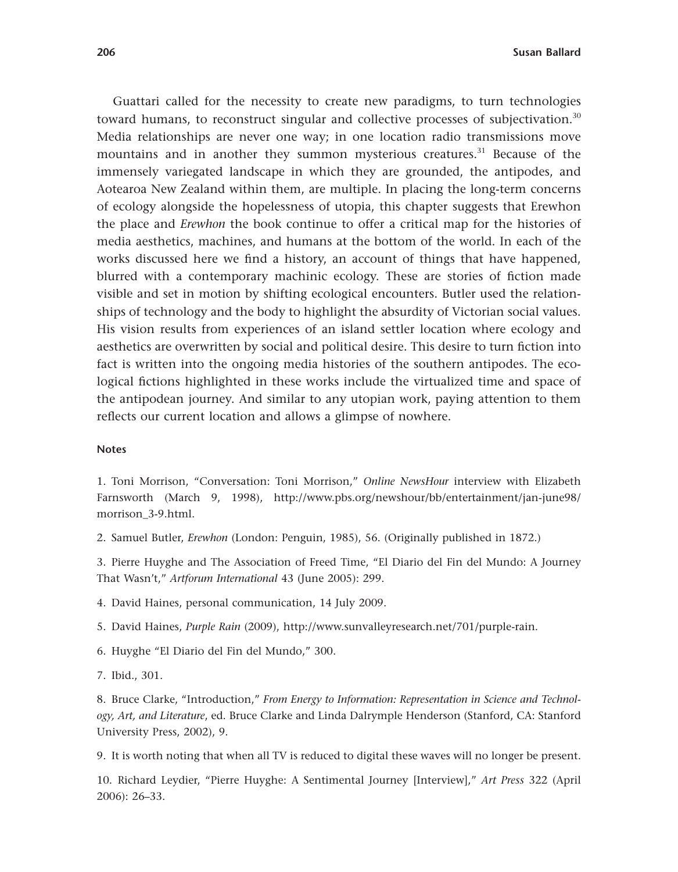**206 Susan Ballard**

Guattari called for the necessity to create new paradigms, to turn technologies toward humans, to reconstruct singular and collective processes of subjectivation.<sup>30</sup> Media relationships are never one way; in one location radio transmissions move mountains and in another they summon mysterious creatures.<sup>31</sup> Because of the immensely variegated landscape in which they are grounded, the antipodes, and Aotearoa New Zealand within them, are multiple. In placing the long-term concerns of ecology alongside the hopelessness of utopia, this chapter suggests that Erewhon the place and *Erewhon* the book continue to offer a critical map for the histories of media aesthetics, machines, and humans at the bottom of the world. In each of the works discussed here we find a history, an account of things that have happened, blurred with a contemporary machinic ecology. These are stories of fiction made visible and set in motion by shifting ecological encounters. Butler used the relationships of technology and the body to highlight the absurdity of Victorian social values. His vision results from experiences of an island settler location where ecology and aesthetics are overwritten by social and political desire. This desire to turn fiction into fact is written into the ongoing media histories of the southern antipodes. The ecological fictions highlighted in these works include the virtualized time and space of the antipodean journey. And similar to any utopian work, paying attention to them reflects our current location and allows a glimpse of nowhere.

#### **Notes**

1. Toni Morrison, "Conversation: Toni Morrison," *Online NewsHour* interview with Elizabeth Farnsworth (March 9, 1998), http://www.pbs.org/newshour/bb/entertainment/jan-june98/ morrison\_3-9.html.

2. Samuel Butler, *Erewhon* (London: Penguin, 1985), 56. (Originally published in 1872.)

3. Pierre Huyghe and The Association of Freed Time, "El Diario del Fin del Mundo: A Journey That Wasn't," *Artforum International* 43 (June 2005): 299.

4. David Haines, personal communication, 14 July 2009.

5. David Haines, *Purple Rain* (2009), http://www.sunvalleyresearch.net/701/purple-rain.

6. Huyghe "El Diario del Fin del Mundo," 300.

7. Ibid., 301.

8. Bruce Clarke, "Introduction," *From Energy to Information: Representation in Science and Technology, Art, and Literature*, ed. Bruce Clarke and Linda Dalrymple Henderson (Stanford, CA: Stanford University Press, 2002), 9.

9. It is worth noting that when all TV is reduced to digital these waves will no longer be present.

10. Richard Leydier, "Pierre Huyghe: A Sentimental Journey [Interview]," *Art Press* 322 (April 2006): 26–33.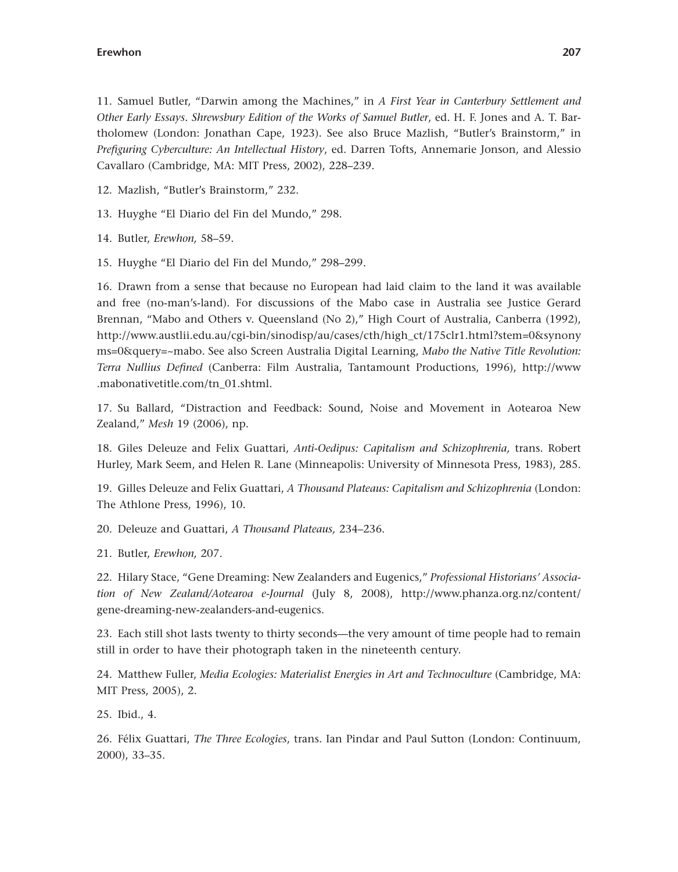11. Samuel Butler, "Darwin among the Machines," in *A First Year in Canterbury Settlement and Other Early Essays. Shrewsbury Edition of the Works of Samuel Butler*, ed. H. F. Jones and A. T. Bartholomew (London: Jonathan Cape, 1923). See also Bruce Mazlish, "Butler's Brainstorm," in *Prefiguring Cyberculture: An Intellectual History*, ed. Darren Tofts, Annemarie Jonson, and Alessio Cavallaro (Cambridge, MA: MIT Press, 2002), 228–239.

12. Mazlish, "Butler's Brainstorm," 232.

13. Huyghe "El Diario del Fin del Mundo," 298.

- 14. Butler, *Erewhon,* 58–59.
- 15. Huyghe "El Diario del Fin del Mundo," 298–299.

16. Drawn from a sense that because no European had laid claim to the land it was available and free (no-man's-land). For discussions of the Mabo case in Australia see Justice Gerard Brennan, "Mabo and Others v. Queensland (No 2)," High Court of Australia, Canberra (1992), http://www.austlii.edu.au/cgi-bin/sinodisp/au/cases/cth/high\_ct/175clr1.html?stem=0&synony ms=0&query=~mabo. See also Screen Australia Digital Learning, *Mabo the Native Title Revolution: Terra Nullius Defined* (Canberra: Film Australia, Tantamount Productions, 1996), http://www .mabonativetitle.com/tn\_01.shtml.

17. Su Ballard, "Distraction and Feedback: Sound, Noise and Movement in Aotearoa New Zealand," *Mesh* 19 (2006), np.

18. Giles Deleuze and Felix Guattari, *Anti-Oedipus: Capitalism and Schizophrenia,* trans. Robert Hurley, Mark Seem, and Helen R. Lane (Minneapolis: University of Minnesota Press, 1983), 285.

19. Gilles Deleuze and Felix Guattari, *A Thousand Plateaus: Capitalism and Schizophrenia* (London: The Athlone Press, 1996), 10.

20. Deleuze and Guattari, *A Thousand Plateaus,* 234–236.

21. Butler, *Erewhon,* 207.

22. Hilary Stace, "Gene Dreaming: New Zealanders and Eugenics," *Professional Historians' Association of New Zealand/Aotearoa e-Journal* (July 8, 2008), http://www.phanza.org.nz/content/ gene-dreaming-new-zealanders-and-eugenics.

23. Each still shot lasts twenty to thirty seconds—the very amount of time people had to remain still in order to have their photograph taken in the nineteenth century.

24. Matthew Fuller, *Media Ecologies: Materialist Energies in Art and Technoculture* (Cambridge, MA: MIT Press, 2005), 2.

25. Ibid., 4.

26. Félix Guattari, *The Three Ecologies*, trans. Ian Pindar and Paul Sutton (London: Continuum, 2000), 33–35.